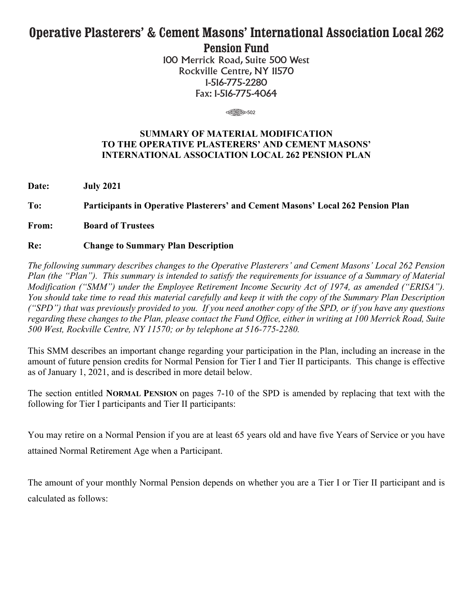# **Operative Plasterers' & Cement Masons' International Association Local 262 Pension Fund**

100 Merrick Road, Suite 500 West Rockville Centre, NY 11570 1-516-775-2280 Fax: 1-516-775-4064

 $\begin{array}{c}\n\text{3.502}\n\end{array}$ 

# **SUMMARY OF MATERIAL MODIFICATION TO THE OPERATIVE PLASTERERS' AND CEMENT MASONS' INTERNATIONAL ASSOCIATION LOCAL 262 PENSION PLAN**

**Date: July 2021**

**To: Participants in Operative Plasterers' and Cement Masons' Local 262 Pension Plan**

**From: Board of Trustees**

# **Re: Change to Summary Plan Description**

*The following summary describes changes to the Operative Plasterers' and Cement Masons' Local 262 Pension Plan (the "Plan"). This summary is intended to satisfy the requirements for issuance of a Summary of Material Modification ("SMM") under the Employee Retirement Income Security Act of 1974, as amended ("ERISA"). You should take time to read this material carefully and keep it with the copy of the Summary Plan Description ("SPD") that was previously provided to you. If you need another copy of the SPD, or if you have any questions regarding these changes to the Plan, please contact the Fund Office, either in writing at 100 Merrick Road, Suite 500 West, Rockville Centre, NY 11570; or by telephone at 516-775-2280.*

This SMM describes an important change regarding your participation in the Plan, including an increase in the amount of future pension credits for Normal Pension for Tier I and Tier II participants. This change is effective as of January 1, 2021, and is described in more detail below.

The section entitled **NORMAL PENSION** on pages 7-10 of the SPD is amended by replacing that text with the following for Tier I participants and Tier II participants:

You may retire on a Normal Pension if you are at least 65 years old and have five Years of Service or you have attained Normal Retirement Age when a Participant.

The amount of your monthly Normal Pension depends on whether you are a Tier I or Tier II participant and is calculated as follows: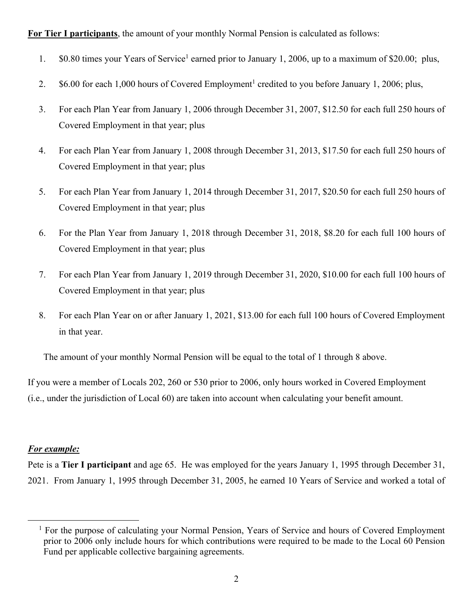# **For Tier I participants**, the amount of your monthly Normal Pension is calculated as follows:

- 1. \$0.80 times your Years of Service<sup>1</sup> earned prior to January 1, 2006, up to a maximum of \$20.00; plus,
- 2.  $$6.00$  for each 1,000 hours of Covered Employment<sup>1</sup> credited to you before January 1, 2006; plus,
- 3. For each Plan Year from January 1, 2006 through December 31, 2007, \$12.50 for each full 250 hours of Covered Employment in that year; plus
- 4. For each Plan Year from January 1, 2008 through December 31, 2013, \$17.50 for each full 250 hours of Covered Employment in that year; plus
- 5. For each Plan Year from January 1, 2014 through December 31, 2017, \$20.50 for each full 250 hours of Covered Employment in that year; plus
- 6. For the Plan Year from January 1, 2018 through December 31, 2018, \$8.20 for each full 100 hours of Covered Employment in that year; plus
- 7. For each Plan Year from January 1, 2019 through December 31, 2020, \$10.00 for each full 100 hours of Covered Employment in that year; plus
- 8. For each Plan Year on or after January 1, 2021, \$13.00 for each full 100 hours of Covered Employment in that year.

The amount of your monthly Normal Pension will be equal to the total of 1 through 8 above.

If you were a member of Locals 202, 260 or 530 prior to 2006, only hours worked in Covered Employment (i.e., under the jurisdiction of Local 60) are taken into account when calculating your benefit amount.

### *For example:*

Pete is a **Tier I participant** and age 65. He was employed for the years January 1, 1995 through December 31, 2021. From January 1, 1995 through December 31, 2005, he earned 10 Years of Service and worked a total of

<sup>&</sup>lt;sup>1</sup> For the purpose of calculating your Normal Pension, Years of Service and hours of Covered Employment prior to 2006 only include hours for which contributions were required to be made to the Local 60 Pension Fund per applicable collective bargaining agreements.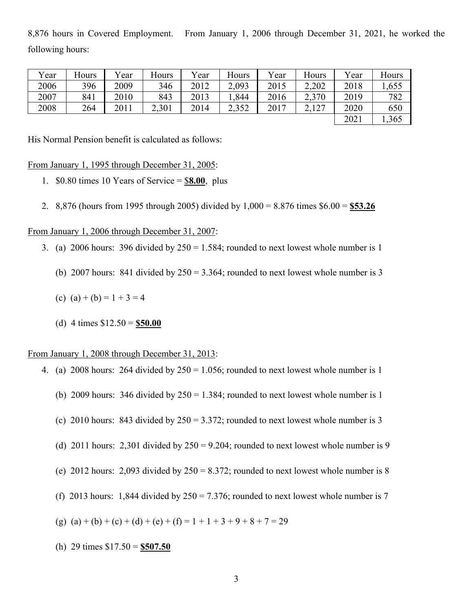8,876 hours in Covered Employment. From January 1, 2006 through December 31, 2021, he worked the following hours:

| Vear | Hours | Year | Hours | Year | Hours | Year | Hours | Year | Hours |
|------|-------|------|-------|------|-------|------|-------|------|-------|
| 2006 | 396   | 2009 | 346   | 2012 | 2,093 | 2015 | 2,202 | 2018 | .655  |
| 2007 | 841   | 2010 | 843   | 2013 | ,844  | 2016 | 2,370 | 2019 | 782   |
| 2008 | 264   | 2011 | 2,301 | 2014 | 2,352 | 2017 | 2,127 | 2020 | 650   |
|      |       |      |       |      |       |      |       | 2021 | 1,365 |

His Normal Pension benefit is calculated as follows:

From January 1, 1995 through December 31, 2005:

- 1. \$0.80 times 10 Years of Service = \$**8.00**, plus
- 2. 8,876 (hours from 1995 through 2005) divided by 1,000 = 8.876 times \$6.00 = **\$53.26**

From January 1, 2006 through December 31, 2007:

- 3. (a) 2006 hours: 396 divided by  $250 = 1.584$ ; rounded to next lowest whole number is 1
	- (b) 2007 hours: 841 divided by  $250 = 3.364$ ; rounded to next lowest whole number is 3
	- (c) (a) + (b) =  $1 + 3 = 4$
	- (d) 4 times \$12.50 = **\$50.00**

## From January 1, 2008 through December 31, 2013:

- 4. (a) 2008 hours: 264 divided by  $250 = 1.056$ ; rounded to next lowest whole number is 1
	- (b) 2009 hours: 346 divided by  $250 = 1.384$ ; rounded to next lowest whole number is 1
	- (c) 2010 hours: 843 divided by  $250 = 3.372$ ; rounded to next lowest whole number is 3
	- (d) 2011 hours: 2,301 divided by  $250 = 9.204$ ; rounded to next lowest whole number is 9
	- (e) 2012 hours: 2,093 divided by  $250 = 8.372$ ; rounded to next lowest whole number is 8
	- (f) 2013 hours: 1,844 divided by  $250 = 7.376$ ; rounded to next lowest whole number is 7

(g) (a) + (b) + (c) + (d) + (e) + (f) = 1 + 1 + 3 + 9 + 8 + 7 = 29

(h) 29 times \$17.50 = **\$507.50**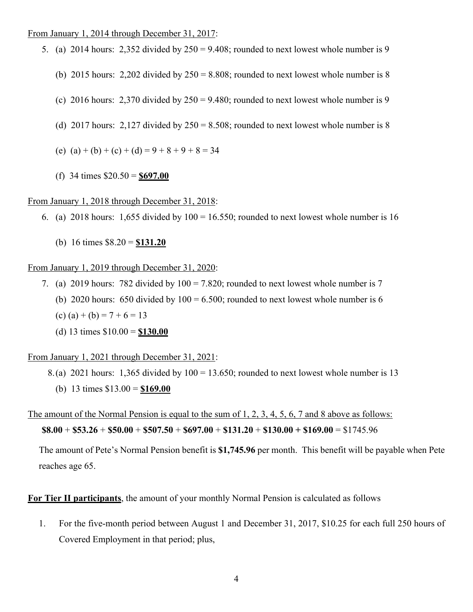#### From January 1, 2014 through December 31, 2017:

- 5. (a) 2014 hours: 2,352 divided by  $250 = 9.408$ ; rounded to next lowest whole number is 9
	- (b) 2015 hours:  $2,202$  divided by  $250 = 8.808$ ; rounded to next lowest whole number is 8
	- (c) 2016 hours: 2,370 divided by  $250 = 9.480$ ; rounded to next lowest whole number is 9
	- (d) 2017 hours: 2,127 divided by  $250 = 8.508$ ; rounded to next lowest whole number is 8
	- (e)  $(a) + (b) + (c) + (d) = 9 + 8 + 9 + 8 = 34$
	- (f) 34 times \$20.50 = **\$697.00**

## From January 1, 2018 through December 31, 2018:

- 6. (a) 2018 hours: 1,655 divided by  $100 = 16.550$ ; rounded to next lowest whole number is 16
	- (b) 16 times \$8.20 = **\$131.20**

#### From January 1, 2019 through December 31, 2020:

- 7. (a) 2019 hours: 782 divided by  $100 = 7.820$ ; rounded to next lowest whole number is 7 (b) 2020 hours: 650 divided by  $100 = 6.500$ ; rounded to next lowest whole number is 6 (c) (a) + (b) =  $7 + 6 = 13$ 
	- (d) 13 times \$10.00 = **\$130.00**

From January 1, 2021 through December 31, 2021:

- 8.(a) 2021 hours: 1,365 divided by 100 = 13.650; rounded to next lowest whole number is 13
	- (b) 13 times \$13.00 = **\$169.00**

The amount of the Normal Pension is equal to the sum of 1, 2, 3, 4, 5, 6, 7 and 8 above as follows: **\$8.00** + **\$53.26** + **\$50.00** + **\$507.50** + **\$697.00** + **\$131.20** + **\$130.00 + \$169.00** = \$1745.96

The amount of Pete's Normal Pension benefit is **\$1,745.96** per month. This benefit will be payable when Pete reaches age 65.

**For Tier II participants**, the amount of your monthly Normal Pension is calculated as follows

1. For the five-month period between August 1 and December 31, 2017, \$10.25 for each full 250 hours of Covered Employment in that period; plus,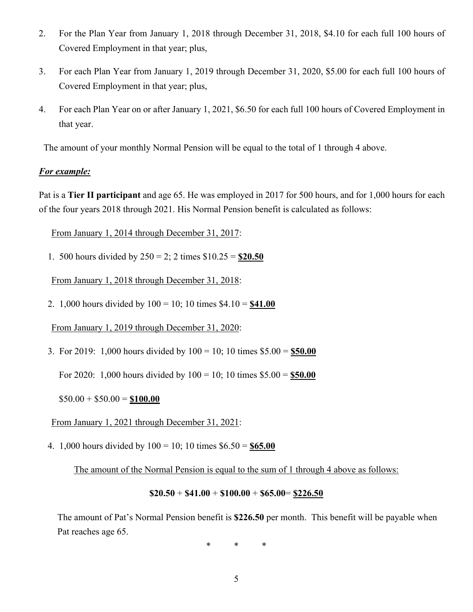- 2. For the Plan Year from January 1, 2018 through December 31, 2018, \$4.10 for each full 100 hours of Covered Employment in that year; plus,
- 3. For each Plan Year from January 1, 2019 through December 31, 2020, \$5.00 for each full 100 hours of Covered Employment in that year; plus,
- 4. For each Plan Year on or after January 1, 2021, \$6.50 for each full 100 hours of Covered Employment in that year.

The amount of your monthly Normal Pension will be equal to the total of 1 through 4 above.

# *For example:*

Pat is a **Tier II participant** and age 65. He was employed in 2017 for 500 hours, and for 1,000 hours for each of the four years 2018 through 2021. His Normal Pension benefit is calculated as follows:

From January 1, 2014 through December 31, 2017:

1. 500 hours divided by 250 = 2; 2 times \$10.25 = **\$20.50**

From January 1, 2018 through December 31, 2018:

2. 1,000 hours divided by 100 = 10; 10 times \$4.10 = **\$41.00**

From January 1, 2019 through December 31, 2020:

3. For 2019: 1,000 hours divided by 100 = 10; 10 times \$5.00 = **\$50.00**

For 2020: 1,000 hours divided by 100 = 10; 10 times \$5.00 = **\$50.00**

 $$50.00 + $50.00 = $100.00$ 

From January 1, 2021 through December 31, 2021:

4. 1,000 hours divided by 100 = 10; 10 times \$6.50 = **\$65.00**

The amount of the Normal Pension is equal to the sum of 1 through 4 above as follows:

$$
\$20.50 + \$41.00 + \$100.00 + \$65.00 = \underline{\$226.50}
$$

The amount of Pat's Normal Pension benefit is **\$226.50** per month. This benefit will be payable when Pat reaches age 65.

\* \* \*